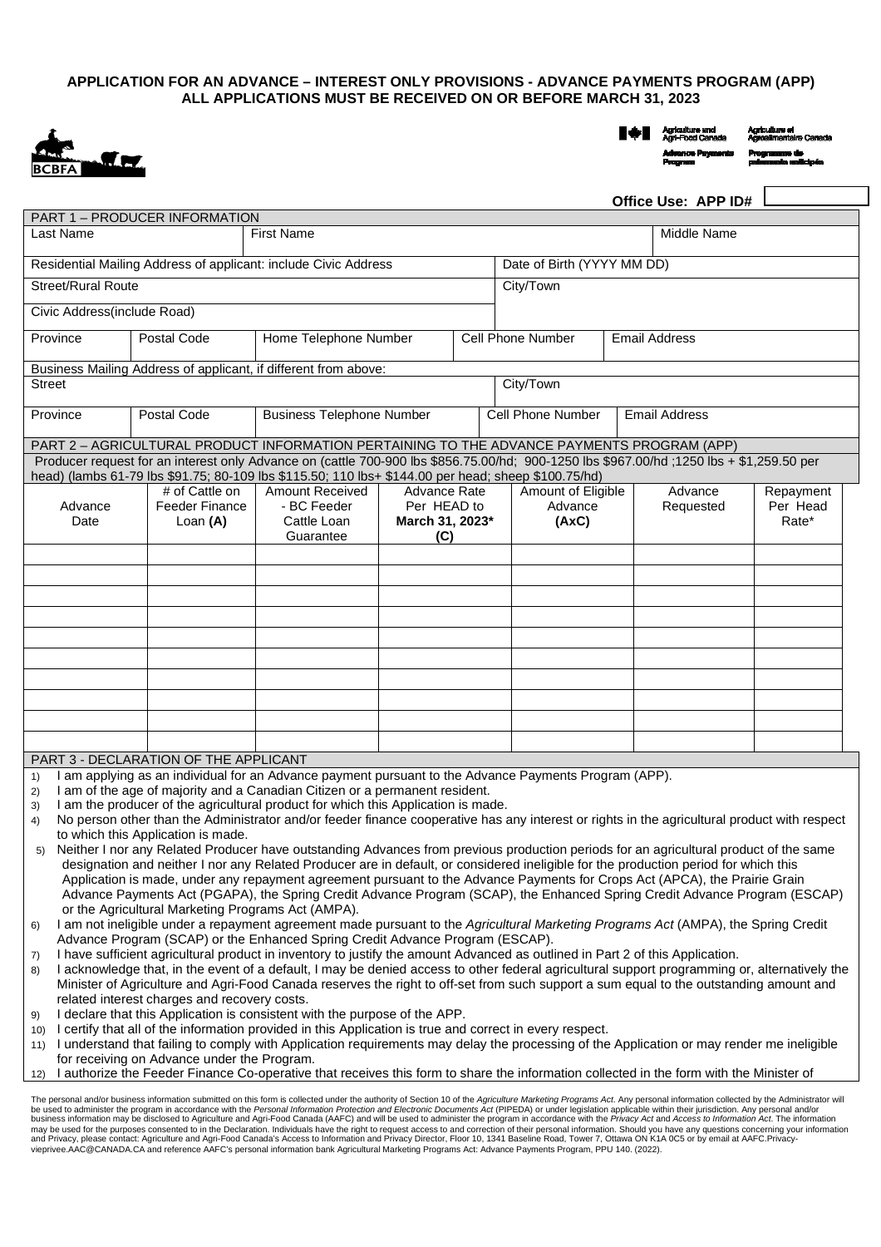## **APPLICATION FOR AN ADVANCE – INTEREST ONLY PROVISIONS - ADVANCE PAYMENTS PROGRAM (APP) ALL APPLICATIONS MUST BE RECEIVED ON OR BEFORE MARCH 31, 2023**



Agriculture and<br>Agri-Food Canada Agriculture et<br>Agroallmentaire Car **Advance Pay**<br>Program

**Programme de<br>palements anticipés** 

|                                                                                                                                                                                                                                                                                     |                                                                                                                                        |                                                                                                                                                                                                                                                 |                                                       |  |                                        |  | Office Use: APP ID#  |                                |
|-------------------------------------------------------------------------------------------------------------------------------------------------------------------------------------------------------------------------------------------------------------------------------------|----------------------------------------------------------------------------------------------------------------------------------------|-------------------------------------------------------------------------------------------------------------------------------------------------------------------------------------------------------------------------------------------------|-------------------------------------------------------|--|----------------------------------------|--|----------------------|--------------------------------|
|                                                                                                                                                                                                                                                                                     | PART 1 - PRODUCER INFORMATION                                                                                                          |                                                                                                                                                                                                                                                 |                                                       |  |                                        |  |                      |                                |
| Last Name                                                                                                                                                                                                                                                                           |                                                                                                                                        | <b>First Name</b>                                                                                                                                                                                                                               |                                                       |  |                                        |  | Middle Name          |                                |
| Residential Mailing Address of applicant: include Civic Address                                                                                                                                                                                                                     |                                                                                                                                        |                                                                                                                                                                                                                                                 | Date of Birth (YYYY MM DD)                            |  |                                        |  |                      |                                |
| <b>Street/Rural Route</b>                                                                                                                                                                                                                                                           |                                                                                                                                        |                                                                                                                                                                                                                                                 |                                                       |  | City/Town                              |  |                      |                                |
| Civic Address (include Road)                                                                                                                                                                                                                                                        |                                                                                                                                        |                                                                                                                                                                                                                                                 |                                                       |  |                                        |  |                      |                                |
| Province                                                                                                                                                                                                                                                                            | Postal Code                                                                                                                            | Home Telephone Number                                                                                                                                                                                                                           |                                                       |  | <b>Cell Phone Number</b>               |  | <b>Email Address</b> |                                |
|                                                                                                                                                                                                                                                                                     | Business Mailing Address of applicant, if different from above:                                                                        |                                                                                                                                                                                                                                                 |                                                       |  |                                        |  |                      |                                |
| Street                                                                                                                                                                                                                                                                              |                                                                                                                                        |                                                                                                                                                                                                                                                 |                                                       |  | City/Town                              |  |                      |                                |
| Province                                                                                                                                                                                                                                                                            | Postal Code                                                                                                                            | <b>Business Telephone Number</b>                                                                                                                                                                                                                |                                                       |  | Cell Phone Number                      |  | <b>Email Address</b> |                                |
|                                                                                                                                                                                                                                                                                     |                                                                                                                                        | PART 2 - AGRICULTURAL PRODUCT INFORMATION PERTAINING TO THE ADVANCE PAYMENTS PROGRAM (APP)                                                                                                                                                      |                                                       |  |                                        |  |                      |                                |
|                                                                                                                                                                                                                                                                                     |                                                                                                                                        | Producer request for an interest only Advance on (cattle 700-900 lbs \$856.75.00/hd; 900-1250 lbs \$967.00/hd ;1250 lbs + \$1,259.50 per<br>head) (lambs 61-79 lbs \$91.75; 80-109 lbs \$115.50; 110 lbs+ \$144.00 per head; sheep \$100.75/hd) |                                                       |  |                                        |  |                      |                                |
| Advance<br>Date                                                                                                                                                                                                                                                                     | # of Cattle on<br><b>Feeder Finance</b><br>Loan (A)                                                                                    | <b>Amount Received</b><br>- BC Feeder<br>Cattle Loan<br>Guarantee                                                                                                                                                                               | Advance Rate<br>Per HEAD to<br>March 31, 2023*<br>(C) |  | Amount of Eligible<br>Advance<br>(AxC) |  | Advance<br>Requested | Repayment<br>Per Head<br>Rate* |
|                                                                                                                                                                                                                                                                                     |                                                                                                                                        |                                                                                                                                                                                                                                                 |                                                       |  |                                        |  |                      |                                |
|                                                                                                                                                                                                                                                                                     |                                                                                                                                        |                                                                                                                                                                                                                                                 |                                                       |  |                                        |  |                      |                                |
|                                                                                                                                                                                                                                                                                     |                                                                                                                                        |                                                                                                                                                                                                                                                 |                                                       |  |                                        |  |                      |                                |
|                                                                                                                                                                                                                                                                                     |                                                                                                                                        |                                                                                                                                                                                                                                                 |                                                       |  |                                        |  |                      |                                |
|                                                                                                                                                                                                                                                                                     |                                                                                                                                        |                                                                                                                                                                                                                                                 |                                                       |  |                                        |  |                      |                                |
|                                                                                                                                                                                                                                                                                     |                                                                                                                                        |                                                                                                                                                                                                                                                 |                                                       |  |                                        |  |                      |                                |
|                                                                                                                                                                                                                                                                                     |                                                                                                                                        |                                                                                                                                                                                                                                                 |                                                       |  |                                        |  |                      |                                |
|                                                                                                                                                                                                                                                                                     |                                                                                                                                        |                                                                                                                                                                                                                                                 |                                                       |  |                                        |  |                      |                                |
|                                                                                                                                                                                                                                                                                     |                                                                                                                                        |                                                                                                                                                                                                                                                 |                                                       |  |                                        |  |                      |                                |
|                                                                                                                                                                                                                                                                                     | PART 3 - DECLARATION OF THE APPLICANT                                                                                                  |                                                                                                                                                                                                                                                 |                                                       |  |                                        |  |                      |                                |
| 1)<br>2)                                                                                                                                                                                                                                                                            |                                                                                                                                        | I am applying as an individual for an Advance payment pursuant to the Advance Payments Program (APP).<br>I am of the age of majority and a Canadian Citizen or a permanent resident.                                                            |                                                       |  |                                        |  |                      |                                |
| 3)                                                                                                                                                                                                                                                                                  |                                                                                                                                        | I am the producer of the agricultural product for which this Application is made.                                                                                                                                                               |                                                       |  |                                        |  |                      |                                |
| 4)                                                                                                                                                                                                                                                                                  |                                                                                                                                        | No person other than the Administrator and/or feeder finance cooperative has any interest or rights in the agricultural product with respect                                                                                                    |                                                       |  |                                        |  |                      |                                |
|                                                                                                                                                                                                                                                                                     | to which this Application is made.                                                                                                     |                                                                                                                                                                                                                                                 |                                                       |  |                                        |  |                      |                                |
| Neither I nor any Related Producer have outstanding Advances from previous production periods for an agricultural product of the same<br>5)<br>designation and neither I nor any Related Producer are in default, or considered ineligible for the production period for which this |                                                                                                                                        |                                                                                                                                                                                                                                                 |                                                       |  |                                        |  |                      |                                |
|                                                                                                                                                                                                                                                                                     | Application is made, under any repayment agreement pursuant to the Advance Payments for Crops Act (APCA), the Prairie Grain            |                                                                                                                                                                                                                                                 |                                                       |  |                                        |  |                      |                                |
| Advance Payments Act (PGAPA), the Spring Credit Advance Program (SCAP), the Enhanced Spring Credit Advance Program (ESCAP)                                                                                                                                                          |                                                                                                                                        |                                                                                                                                                                                                                                                 |                                                       |  |                                        |  |                      |                                |
| or the Agricultural Marketing Programs Act (AMPA).                                                                                                                                                                                                                                  |                                                                                                                                        |                                                                                                                                                                                                                                                 |                                                       |  |                                        |  |                      |                                |
| I am not ineligible under a repayment agreement made pursuant to the Agricultural Marketing Programs Act (AMPA), the Spring Credit<br>6)<br>Advance Program (SCAP) or the Enhanced Spring Credit Advance Program (ESCAP).                                                           |                                                                                                                                        |                                                                                                                                                                                                                                                 |                                                       |  |                                        |  |                      |                                |
| I have sufficient agricultural product in inventory to justify the amount Advanced as outlined in Part 2 of this Application.<br>7)                                                                                                                                                 |                                                                                                                                        |                                                                                                                                                                                                                                                 |                                                       |  |                                        |  |                      |                                |
| I acknowledge that, in the event of a default, I may be denied access to other federal agricultural support programming or, alternatively the<br>8)                                                                                                                                 |                                                                                                                                        |                                                                                                                                                                                                                                                 |                                                       |  |                                        |  |                      |                                |
|                                                                                                                                                                                                                                                                                     | Minister of Agriculture and Agri-Food Canada reserves the right to off-set from such support a sum equal to the outstanding amount and |                                                                                                                                                                                                                                                 |                                                       |  |                                        |  |                      |                                |
| related interest charges and recovery costs.                                                                                                                                                                                                                                        |                                                                                                                                        |                                                                                                                                                                                                                                                 |                                                       |  |                                        |  |                      |                                |
| I declare that this Application is consistent with the purpose of the APP.<br>9)<br>I certify that all of the information provided in this Application is true and correct in every respect.<br>10)                                                                                 |                                                                                                                                        |                                                                                                                                                                                                                                                 |                                                       |  |                                        |  |                      |                                |
| I understand that failing to comply with Application requirements may delay the processing of the Application or may render me ineligible<br>11)                                                                                                                                    |                                                                                                                                        |                                                                                                                                                                                                                                                 |                                                       |  |                                        |  |                      |                                |
| for receiving on Advance under the Program.                                                                                                                                                                                                                                         |                                                                                                                                        |                                                                                                                                                                                                                                                 |                                                       |  |                                        |  |                      |                                |
| I authorize the Feeder Finance Co-operative that receives this form to share the information collected in the form with the Minister of<br>12)                                                                                                                                      |                                                                                                                                        |                                                                                                                                                                                                                                                 |                                                       |  |                                        |  |                      |                                |

12) I authorize the Feeder Finance Co-operative that receives this form to share the information collected in the form with the Minister of

The personal and/or business information submitted on this form is collected under the authority of Section 10 of the Agriculture Marketing Programs Act. Any personal information collected by the Administrator will<br>be used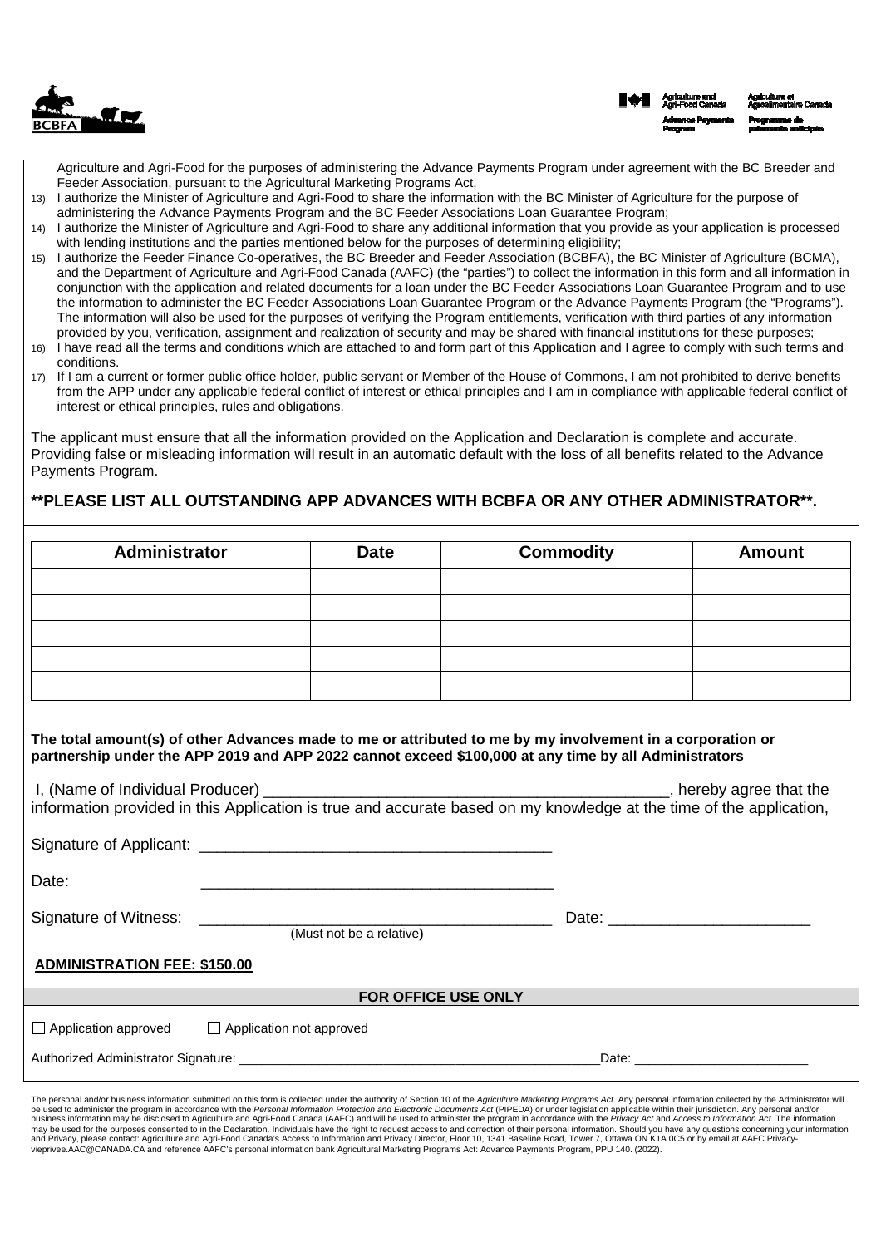

Agriculture and Agri-Food for the purposes of administering the Advance Payments Program under agreement with the BC Breeder and Feeder Association, pursuant to the Agricultural Marketing Programs Act,

- 13) I authorize the Minister of Agriculture and Agri-Food to share the information with the BC Minister of Agriculture for the purpose of administering the Advance Payments Program and the BC Feeder Associations Loan Guarantee Program;
- 14) I authorize the Minister of Agriculture and Agri-Food to share any additional information that you provide as your application is processed with lending institutions and the parties mentioned below for the purposes of determining eligibility;
- 15) I authorize the Feeder Finance Co-operatives, the BC Breeder and Feeder Association (BCBFA), the BC Minister of Agriculture (BCMA), and the Department of Agriculture and Agri-Food Canada (AAFC) (the "parties") to collect the information in this form and all information in conjunction with the application and related documents for a loan under the BC Feeder Associations Loan Guarantee Program and to use the information to administer the BC Feeder Associations Loan Guarantee Program or the Advance Payments Program (the "Programs"). The information will also be used for the purposes of verifying the Program entitlements, verification with third parties of any information provided by you, verification, assignment and realization of security and may be shared with financial institutions for these purposes;
- 16) I have read all the terms and conditions which are attached to and form part of this Application and I agree to comply with such terms and conditions.
- 17) If I am a current or former public office holder, public servant or Member of the House of Commons, I am not prohibited to derive benefits from the APP under any applicable federal conflict of interest or ethical principles and I am in compliance with applicable federal conflict of interest or ethical principles, rules and obligations.

The applicant must ensure that all the information provided on the Application and Declaration is complete and accurate. Providing false or misleading information will result in an automatic default with the loss of all benefits related to the Advance Payments Program.

# **\*\*PLEASE LIST ALL OUTSTANDING APP ADVANCES WITH BCBFA OR ANY OTHER ADMINISTRATOR\*\*.**

| Administrator                                                                                                                                                                                                       | <b>Date</b>              | <b>Commodity</b>    | <b>Amount</b>                                                                                                  |  |  |
|---------------------------------------------------------------------------------------------------------------------------------------------------------------------------------------------------------------------|--------------------------|---------------------|----------------------------------------------------------------------------------------------------------------|--|--|
|                                                                                                                                                                                                                     |                          |                     |                                                                                                                |  |  |
|                                                                                                                                                                                                                     |                          |                     |                                                                                                                |  |  |
|                                                                                                                                                                                                                     |                          |                     |                                                                                                                |  |  |
|                                                                                                                                                                                                                     |                          |                     |                                                                                                                |  |  |
|                                                                                                                                                                                                                     |                          |                     |                                                                                                                |  |  |
|                                                                                                                                                                                                                     |                          |                     |                                                                                                                |  |  |
|                                                                                                                                                                                                                     |                          |                     |                                                                                                                |  |  |
| The total amount(s) of other Advances made to me or attributed to me by my involvement in a corporation or<br>partnership under the APP 2019 and APP 2022 cannot exceed \$100,000 at any time by all Administrators |                          |                     |                                                                                                                |  |  |
|                                                                                                                                                                                                                     |                          |                     |                                                                                                                |  |  |
|                                                                                                                                                                                                                     |                          |                     |                                                                                                                |  |  |
|                                                                                                                                                                                                                     |                          |                     |                                                                                                                |  |  |
| Date:                                                                                                                                                                                                               |                          |                     |                                                                                                                |  |  |
|                                                                                                                                                                                                                     |                          |                     |                                                                                                                |  |  |
| Signature of Witness:                                                                                                                                                                                               | (Must not be a relative) |                     |                                                                                                                |  |  |
| <b>ADMINISTRATION FEE: \$150.00</b>                                                                                                                                                                                 |                          |                     |                                                                                                                |  |  |
|                                                                                                                                                                                                                     |                          |                     |                                                                                                                |  |  |
|                                                                                                                                                                                                                     |                          | FOR OFFICE USE ONLY |                                                                                                                |  |  |
| $\Box$ Application approved<br>□ Application not approved                                                                                                                                                           |                          |                     |                                                                                                                |  |  |
| Authorized Administrator Signature: Annual State of the Control of the Control of Authorized Administrator Signature:                                                                                               |                          |                     | Date: Note: Note: Note: Note: Note: Note: Note: Note: Note: Note: Note: Note: Note: Note: Note: Note: Note: No |  |  |
|                                                                                                                                                                                                                     |                          |                     |                                                                                                                |  |  |

The personal and/or business information submitted on this form is collected under the authority of Section 10 of the Agriculture Marketing Programs Act. Any personal information collected by the Administrator will<br>be used vieprivee.AAC@CANADA.CA and reference AAFC's personal information bank Agricultural Marketing Programs Act: Advance Payments Program, PPU 140. (2022).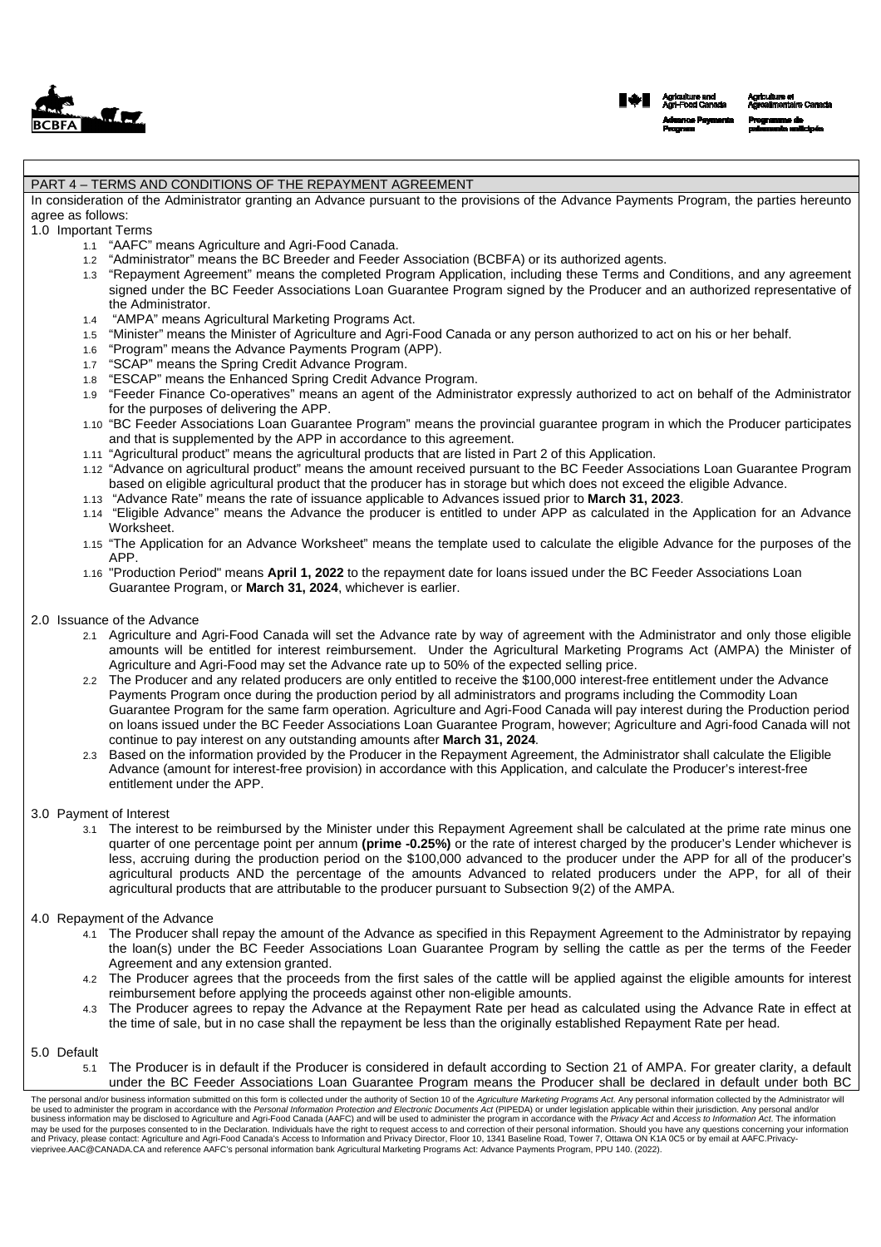| $\Delta$     | $\blacksquare$ |
|--------------|----------------|
| <b>BCBFA</b> |                |

#### PART 4 – TERMS AND CONDITIONS OF THE REPAYMENT AGREEMENT

In consideration of the Administrator granting an Advance pursuant to the provisions of the Advance Payments Program, the parties hereunto agree as follows:

1.0 Important Terms

- 1.1 "AAFC" means Agriculture and Agri-Food Canada.
- 1.2 "Administrator" means the BC Breeder and Feeder Association (BCBFA) or its authorized agents.
- 1.3 "Repayment Agreement" means the completed Program Application, including these Terms and Conditions, and any agreement signed under the BC Feeder Associations Loan Guarantee Program signed by the Producer and an authorized representative of the Administrator.
- 1.4 "AMPA" means Agricultural Marketing Programs Act.
- 1.5 "Minister" means the Minister of Agriculture and Agri-Food Canada or any person authorized to act on his or her behalf.
- 1.6 "Program" means the Advance Payments Program (APP).
- 1.7 "SCAP" means the Spring Credit Advance Program.
- 1.8 "ESCAP" means the Enhanced Spring Credit Advance Program.
- 1.9 "Feeder Finance Co-operatives" means an agent of the Administrator expressly authorized to act on behalf of the Administrator for the purposes of delivering the APP.
- 1.10 "BC Feeder Associations Loan Guarantee Program" means the provincial guarantee program in which the Producer participates and that is supplemented by the APP in accordance to this agreement.
- 1.11 "Agricultural product" means the agricultural products that are listed in Part 2 of this Application.
- 1.12 "Advance on agricultural product" means the amount received pursuant to the BC Feeder Associations Loan Guarantee Program based on eligible agricultural product that the producer has in storage but which does not exceed the eligible Advance.
- 1.13 "Advance Rate" means the rate of issuance applicable to Advances issued prior to **March 31, 2023**.
- 1.14 "Eligible Advance" means the Advance the producer is entitled to under APP as calculated in the Application for an Advance Worksheet.
- 1.15 "The Application for an Advance Worksheet" means the template used to calculate the eligible Advance for the purposes of the APP.
- 1.16 "Production Period" means **April 1, 2022** to the repayment date for loans issued under the BC Feeder Associations Loan Guarantee Program, or **March 31, 2024**, whichever is earlier.
- 2.0 Issuance of the Advance
	- 2.1 Agriculture and Agri-Food Canada will set the Advance rate by way of agreement with the Administrator and only those eligible amounts will be entitled for interest reimbursement. Under the Agricultural Marketing Programs Act (AMPA) the Minister of Agriculture and Agri-Food may set the Advance rate up to 50% of the expected selling price.
	- 2.2 The Producer and any related producers are only entitled to receive the \$100,000 interest-free entitlement under the Advance Payments Program once during the production period by all administrators and programs including the Commodity Loan Guarantee Program for the same farm operation. Agriculture and Agri-Food Canada will pay interest during the Production period on loans issued under the BC Feeder Associations Loan Guarantee Program, however; Agriculture and Agri-food Canada will not continue to pay interest on any outstanding amounts after **March 31, 2024**.
	- 2.3 Based on the information provided by the Producer in the Repayment Agreement, the Administrator shall calculate the Eligible Advance (amount for interest-free provision) in accordance with this Application, and calculate the Producer's interest-free entitlement under the APP.

#### 3.0 Payment of Interest

3.1 The interest to be reimbursed by the Minister under this Repayment Agreement shall be calculated at the prime rate minus one quarter of one percentage point per annum **(prime -0.25%)** or the rate of interest charged by the producer's Lender whichever is less, accruing during the production period on the \$100,000 advanced to the producer under the APP for all of the producer's agricultural products AND the percentage of the amounts Advanced to related producers under the APP, for all of their agricultural products that are attributable to the producer pursuant to Subsection 9(2) of the AMPA.

#### 4.0 Repayment of the Advance

- 4.1 The Producer shall repay the amount of the Advance as specified in this Repayment Agreement to the Administrator by repaying the loan(s) under the BC Feeder Associations Loan Guarantee Program by selling the cattle as per the terms of the Feeder Agreement and any extension granted.
- 4.2 The Producer agrees that the proceeds from the first sales of the cattle will be applied against the eligible amounts for interest reimbursement before applying the proceeds against other non-eligible amounts.
- 4.3 The Producer agrees to repay the Advance at the Repayment Rate per head as calculated using the Advance Rate in effect at the time of sale, but in no case shall the repayment be less than the originally established Repayment Rate per head.

#### 5.0 Default

5.1 The Producer is in default if the Producer is considered in default according to Section 21 of AMPA. For greater clarity, a default under the BC Feeder Associations Loan Guarantee Program means the Producer shall be declared in default under both BC

The personal and/or business information submitted on this form is collected under the authority of Section 10 of the Agriculture Marketing Programs Act. Any personal information collected by the Administrator will<br>be used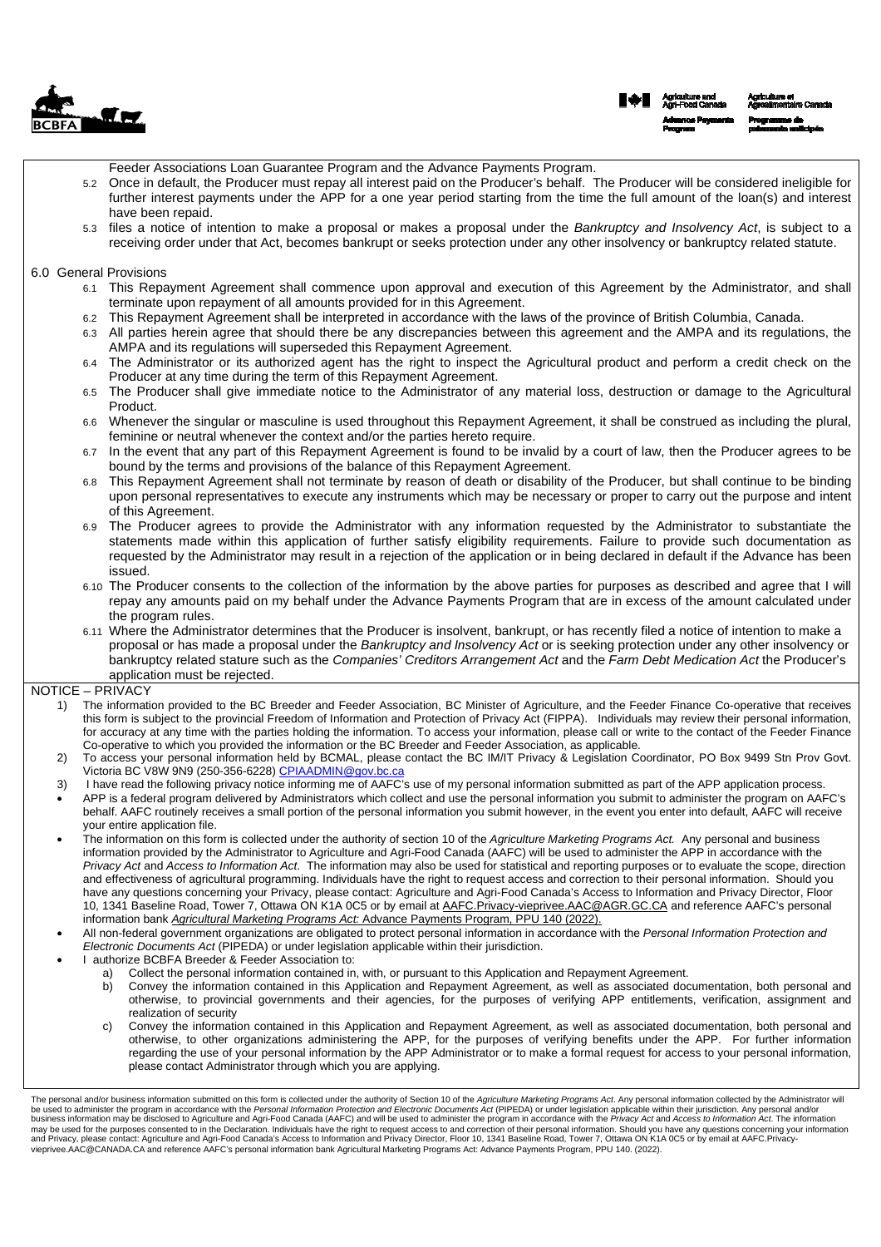

Feeder Associations Loan Guarantee Program and the Advance Payments Program. 5.2 Once in default, the Producer must repay all interest paid on the Producer's behalf. The Producer will be considered ineligible for further interest payments under the APP for a one year period starting from the time the full amount of the loan(s) and interest have been repaid. 5.3 files a notice of intention to make a proposal or makes a proposal under the Bankruptcy and Insolvency Act, is subject to a receiving order under that Act, becomes bankrupt or seeks protection under any other insolvency or bankruptcy related statute. 6.0 General Provisions 6.1 This Repayment Agreement shall commence upon approval and execution of this Agreement by the Administrator, and shall terminate upon repayment of all amounts provided for in this Agreement. 6.2 This Repayment Agreement shall be interpreted in accordance with the laws of the province of British Columbia, Canada. 6.3 All parties herein agree that should there be any discrepancies between this agreement and the AMPA and its regulations, the AMPA and its regulations will superseded this Repayment Agreement. 6.4 The Administrator or its authorized agent has the right to inspect the Agricultural product and perform a credit check on the Producer at any time during the term of this Repayment Agreement. 6.5 The Producer shall give immediate notice to the Administrator of any material loss, destruction or damage to the Agricultural Product. 6.6 Whenever the singular or masculine is used throughout this Repayment Agreement, it shall be construed as including the plural, feminine or neutral whenever the context and/or the parties hereto require. 6.7 In the event that any part of this Repayment Agreement is found to be invalid by a court of law, then the Producer agrees to be bound by the terms and provisions of the balance of this Repayment Agreement. 6.8 This Repayment Agreement shall not terminate by reason of death or disability of the Producer, but shall continue to be binding upon personal representatives to execute any instruments which may be necessary or proper to carry out the purpose and intent of this Agreement. 6.9 The Producer agrees to provide the Administrator with any information requested by the Administrator to substantiate the statements made within this application of further satisfy eligibility requirements. Failure to provide such documentation as requested by the Administrator may result in a rejection of the application or in being declared in default if the Advance has been issued. 6.10 The Producer consents to the collection of the information by the above parties for purposes as described and agree that I will repay any amounts paid on my behalf under the Advance Payments Program that are in excess of the amount calculated under the program rules. 6.11 Where the Administrator determines that the Producer is insolvent, bankrupt, or has recently filed a notice of intention to make a proposal or has made a proposal under the Bankruptcy and Insolvency Act or is seeking protection under any other insolvency or bankruptcy related stature such as the Companies' Creditors Arrangement Act and the Farm Debt Medication Act the Producer's application must be rejected. NOTICE – PRIVACY 1) The information provided to the BC Breeder and Feeder Association, BC Minister of Agriculture, and the Feeder Finance Co-operative that receives this form is subject to the provincial Freedom of Information and Protection of Privacy Act (FIPPA). Individuals may review their personal information, for accuracy at any time with the parties holding the information. To access your information, please call or write to the contact of the Feeder Finance Co-operative to which you provided the information or the BC Breeder and Feeder Association, as applicable. 2) To access your personal information held by BCMAL, please contact the BC IM/IT Privacy & Legislation Coordinator, PO Box 9499 Stn Prov Govt. Victoria BC V8W 9N9 (250-356-6228) CPIAADMIN@gov.bc.ca 3) I have read the following privacy notice informing me of AAFC's use of my personal information submitted as part of the APP application process. APP is a federal program delivered by Administrators which collect and use the personal information you submit to administer the program on AAFC's behalf. AAFC routinely receives a small portion of the personal information you submit however, in the event you enter into default, AAFC will receive your entire application file. The information on this form is collected under the authority of section 10 of the Agriculture Marketing Programs Act. Any personal and business information provided by the Administrator to Agriculture and Agri-Food Canada (AAFC) will be used to administer the APP in accordance with the Privacy Act and Access to Information Act. The information may also be used for statistical and reporting purposes or to evaluate the scope, direction and effectiveness of agricultural programming. Individuals have the right to request access and correction to their personal information. Should you have any questions concerning your Privacy, please contact: Agriculture and Agri-Food Canada's Access to Information and Privacy Director, Floor 10, 1341 Baseline Road, Tower 7, Ottawa ON K1A 0C5 or by email at AAFC.Privacy-vieprivee.AAC@AGR.GC.CA and reference AAFC's personal information bank Agricultural Marketing Programs Act: Advance Payments Program, PPU 140 (2022). All non-federal government organizations are obligated to protect personal information in accordance with the Personal Information Protection and Electronic Documents Act (PIPEDA) or under legislation applicable within their jurisdiction. I authorize BCBFA Breeder & Feeder Association to: a) Collect the personal information contained in, with, or pursuant to this Application and Repayment Agreement. b) Convey the information contained in this Application and Repayment Agreement, as well as associated documentation, both personal and otherwise, to provincial governments and their agencies, for the purposes of verifying APP entitlements, verification, assignment and realization of security c) Convey the information contained in this Application and Repayment Agreement, as well as associated documentation, both personal and otherwise, to other organizations administering the APP, for the purposes of verifying benefits under the APP. For further information regarding the use of your personal information by the APP Administrator or to make a formal request for access to your personal information, please contact Administrator through which you are applying.

The personal and/or business information submitted on this form is collected under the authority of Section 10 of the Agriculture Marketing Programs Act. Any personal information collected by the Administrator will<br>be used vieprivee.AAC@CANADA.CA and reference AAFC's personal information bank Agricultural Marketing Programs Act: Advance Payments Program, PPU 140. (2022).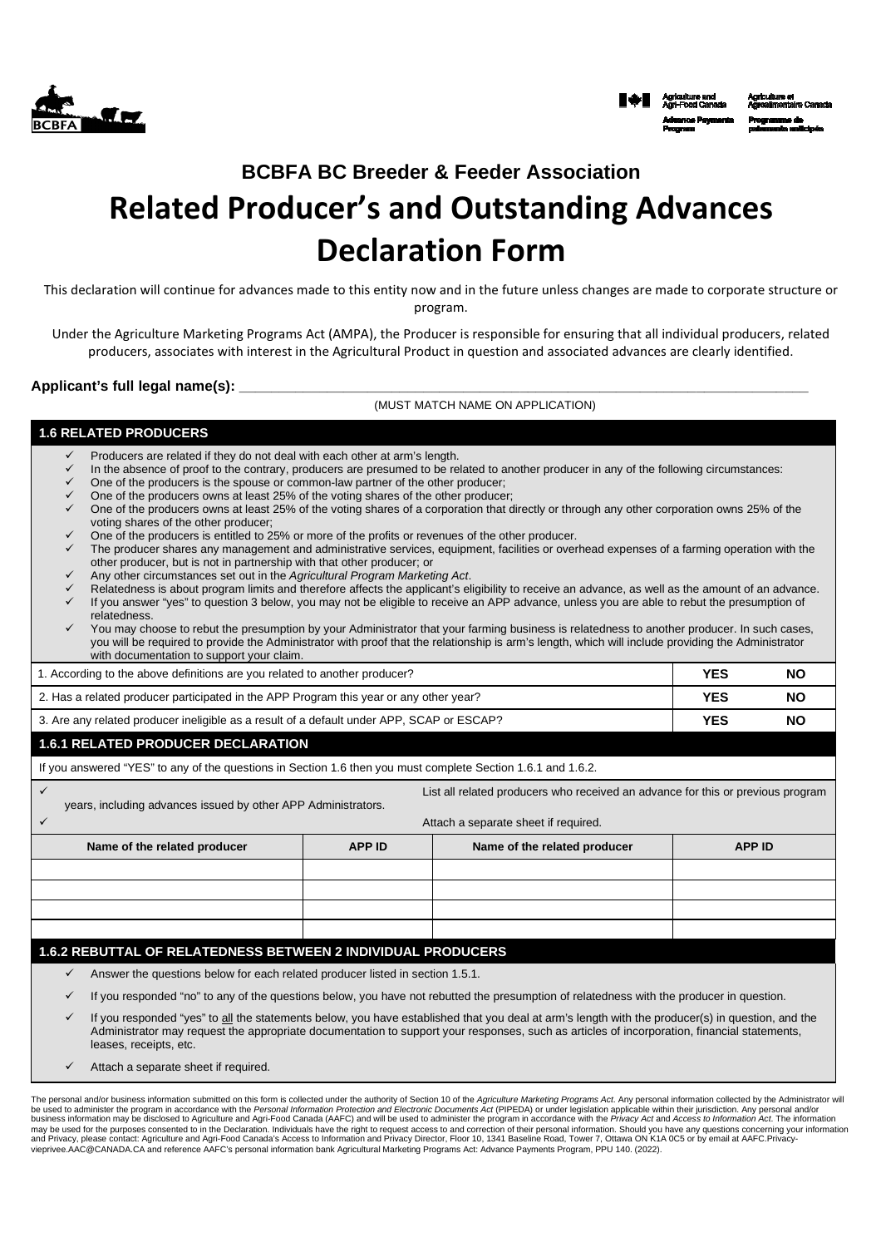



# **BCBFA BC Breeder & Feeder Association**

# Related Producer's and Outstanding Advances Declaration Form

This declaration will continue for advances made to this entity now and in the future unless changes are made to corporate structure or program.

Under the Agriculture Marketing Programs Act (AMPA), the Producer is responsible for ensuring that all individual producers, related producers, associates with interest in the Agricultural Product in question and associated advances are clearly identified.

Applicant's full legal name(s):

(MUST MATCH NAME ON APPLICATION)

## **1.6 RELATED PRODUCERS**

- Producers are related if they do not deal with each other at arm's length.
- In the absence of proof to the contrary, producers are presumed to be related to another producer in any of the following circumstances: One of the producers is the spouse or common-law partner of the other producer;
- One of the producers owns at least 25% of the voting shares of the other producer;
- One of the producers owns at least 25% of the voting shares of a corporation that directly or through any other corporation owns 25% of the voting shares of the other producer;
- One of the producers is entitled to 25% or more of the profits or revenues of the other producer.
- The producer shares any management and administrative services, equipment, facilities or overhead expenses of a farming operation with the other producer, but is not in partnership with that other producer; or
- Any other circumstances set out in the Agricultural Program Marketing Act.
- Relatedness is about program limits and therefore affects the applicant's eligibility to receive an advance, as well as the amount of an advance. If you answer "yes" to question 3 below, you may not be eligible to receive an APP advance, unless you are able to rebut the presumption of relatedness.
- You may choose to rebut the presumption by your Administrator that your farming business is relatedness to another producer. In such cases, you will be required to provide the Administrator with proof that the relationship is arm's length, which will include providing the Administrator with documentation to support your claim

| 1. According to the above definitions are you related to another producer?                | YES | NO        |
|-------------------------------------------------------------------------------------------|-----|-----------|
| 2. Has a related producer participated in the APP Program this year or any other year?    | YES | <b>NO</b> |
| 3. Are any related producer ineligible as a result of a default under APP, SCAP or ESCAP? | YES | <b>NO</b> |

# **1.6.1 RELATED PRODUCER DECLARATION**

| If you answered "YES" to any of the questions in Section 1.6 then you must complete Section 1.6.1 and 1.6.2.                                     |               |                              |               |  |
|--------------------------------------------------------------------------------------------------------------------------------------------------|---------------|------------------------------|---------------|--|
| List all related producers who received an advance for this or previous program<br>years, including advances issued by other APP Administrators. |               |                              |               |  |
| Attach a separate sheet if required.                                                                                                             |               |                              |               |  |
| Name of the related producer                                                                                                                     | <b>APP ID</b> | Name of the related producer | <b>APP ID</b> |  |
|                                                                                                                                                  |               |                              |               |  |
|                                                                                                                                                  |               |                              |               |  |
|                                                                                                                                                  |               |                              |               |  |
|                                                                                                                                                  |               |                              |               |  |
| 1.6.2 REBUTTAL OF RELATEDNESS BETWEEN 2 INDIVIDUAL PRODUCERS                                                                                     |               |                              |               |  |
| Answer the questions below for each related producer listed in section 1.5.1.<br>✓                                                               |               |                              |               |  |

- If you responded "no" to any of the questions below, you have not rebutted the presumption of relatedness with the producer in question.
- If you responded "yes" to all the statements below, you have established that you deal at arm's length with the producer(s) in question, and the Administrator may request the appropriate documentation to support your responses, such as articles of incorporation, financial statements, leases, receipts, etc.
- Attach a separate sheet if required.

The personal and/or business information submitted on this form is collected under the authority of Section 10 of the Agriculture Marketing Programs Act. Any personal information collected by the Administrator will<br>be used vieprivee.AAC@CANADA.CA and reference AAFC's personal information bank Agricultural Marketing Programs Act: Advance Payments Program, PPU 140. (2022).